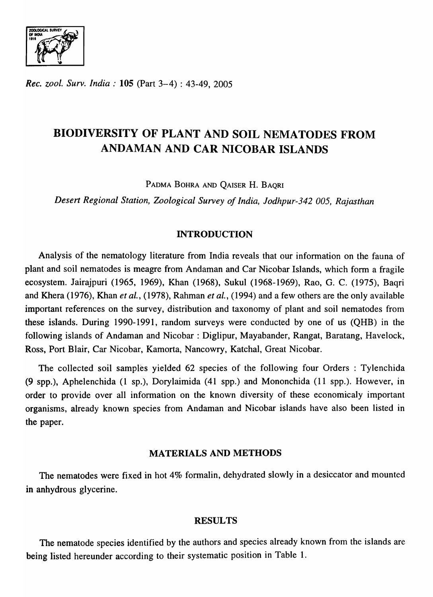$\sum_{\text{ODLOGICAL} }\sum_{\text{SURVEY}}$ *'1'1* ."Z.~r~ *.* '. " ... ,'.:  $\ddot{•}$ 

*Rec. zool. Surv. India:* 105 (Part 3-4) : 43-49, 2005

# BIODIVERSITY OF PLANT AND SOIL NEMATODES FROM ANDAMAN AND CAR NICOBAR ISLANDS

PADMA BOHRA AND QAISER H. BAQRI

*Desert Regional Station, Zoological Survey of India, Jodhpur-342 005, Rajasthan* 

### INTRODUCTION

Analysis of the nematology literature from India reveals that our information on the fauna of plant and soil nematodes is meagre from Andaman and Car Nicobar Islands, which form a fragile ecosystem. Jairajpuri (1965, 1969), Khan (1968), Sukul (1968-1969), Rao, G. C. (1975), Baqri and Khera (1976), Khan *et ai.,* (1978), Rahman *et ai.,* (1994) and a few others are the only available important references on the survey, distribution and taxonomy of plant and soil nematodes from these islands. During 1990-1991, random surveys were conducted by one of us (QHB) in the following islands of Andaman and Nicobar : Diglipur, Mayabander, Rangat, Baratang, Havelock, Ross, Port Blair, Car Nicobar, Kamorta, Nancowry, Katchal, Great Nicobar.

The collected soil samples yielded 62 species of the following four Orders : Tylenchida (9 spp.), Aphelenchida (1 sp.), Dorylaimida (41 spp.) and Mononchida (11 spp.). However, in order to provide over all information on the known diversity of these economicaly important organisms, already known species from Andaman and Nicobar islands have also been listed in the paper.

### MATERIALS AND METHODS

The nematodes were fixed in hot 4% formalin, dehydrated slowly in a desiccator and mounted in anhydrous glycerine.

### RESULTS

The nematode species identified by the authors and species already known from the islands are being listed hereunder according to their systematic position in Table 1.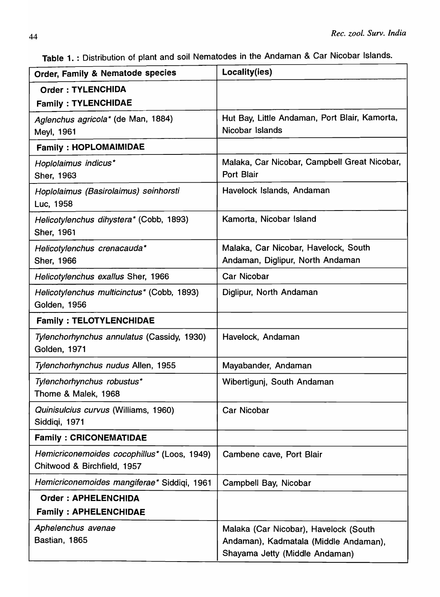Table 1. : Distribution of plant and soil Nematodes in the Andaman & Car Nicobar Islands.

| <b>Order, Family &amp; Nematode species</b>                                | Locality(ies)                                                                                                    |
|----------------------------------------------------------------------------|------------------------------------------------------------------------------------------------------------------|
| <b>Order: TYLENCHIDA</b>                                                   |                                                                                                                  |
| <b>Family: TYLENCHIDAE</b>                                                 |                                                                                                                  |
| Aglenchus agricola* (de Man, 1884)<br>Meyl, 1961                           | Hut Bay, Little Andaman, Port Blair, Kamorta,<br>Nicobar Islands                                                 |
| <b>Family: HOPLOMAIMIDAE</b>                                               |                                                                                                                  |
| Hoplolaimus indicus*<br>Sher, 1963                                         | Malaka, Car Nicobar, Campbell Great Nicobar,<br><b>Port Blair</b>                                                |
| Hoplolaimus (Basirolaimus) seinhorsti<br>Luc, 1958                         | Havelock Islands, Andaman                                                                                        |
| Helicotylenchus dihystera* (Cobb, 1893)<br>Sher, 1961                      | Kamorta, Nicobar Island                                                                                          |
| Helicotylenchus crenacauda*<br>Sher, 1966                                  | Malaka, Car Nicobar, Havelock, South<br>Andaman, Diglipur, North Andaman                                         |
| Helicotylenchus exallus Sher, 1966                                         | <b>Car Nicobar</b>                                                                                               |
| Helicotylenchus multicinctus* (Cobb, 1893)<br>Golden, 1956                 | Diglipur, North Andaman                                                                                          |
| <b>Family: TELOTYLENCHIDAE</b>                                             |                                                                                                                  |
| Tylenchorhynchus annulatus (Cassidy, 1930)<br>Golden, 1971                 | Havelock, Andaman                                                                                                |
| Tylenchorhynchus nudus Allen, 1955                                         | Mayabander, Andaman                                                                                              |
| Tylenchorhynchus robustus*<br>Thome & Malek, 1968                          | Wibertigunj, South Andaman                                                                                       |
| Quinisulcius curvus (Williams, 1960)<br>Siddiqi, 1971                      | <b>Car Nicobar</b>                                                                                               |
| <b>Family: CRICONEMATIDAE</b>                                              |                                                                                                                  |
| Hemicriconemoides cocophillus* (Loos, 1949)<br>Chitwood & Birchfield, 1957 | Cambene cave, Port Blair                                                                                         |
| Hemicriconemoides mangiferae* Siddiqi, 1961                                | Campbell Bay, Nicobar                                                                                            |
| <b>Order: APHELENCHIDA</b>                                                 |                                                                                                                  |
| <b>Family: APHELENCHIDAE</b>                                               |                                                                                                                  |
| Aphelenchus avenae<br>Bastian, 1865                                        | Malaka (Car Nicobar), Havelock (South<br>Andaman), Kadmatala (Middle Andaman),<br>Shayama Jetty (Middle Andaman) |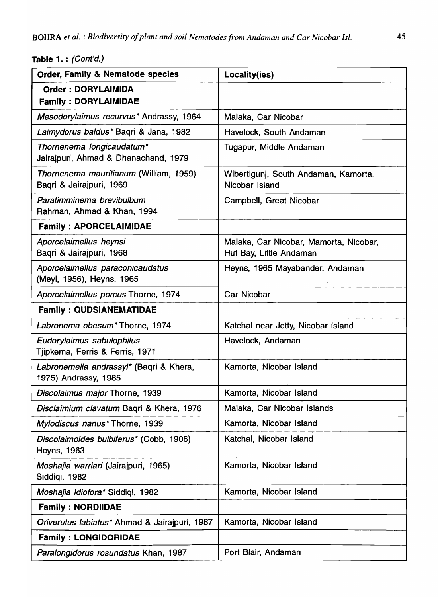Table 1. : (Cont'd.)

| <b>Order, Family &amp; Nematode species</b>                        | Locality(ies)                                                     |
|--------------------------------------------------------------------|-------------------------------------------------------------------|
| <b>Order: DORYLAIMIDA</b><br><b>Family: DORYLAIMIDAE</b>           |                                                                   |
| Mesodorylaimus recurvus* Andrassy, 1964                            | Malaka, Car Nicobar                                               |
| Laimydorus baldus* Bagri & Jana, 1982                              | Havelock, South Andaman                                           |
| Thornenema longicaudatum*<br>Jairajpuri, Ahmad & Dhanachand, 1979  | Tugapur, Middle Andaman                                           |
| Thornenema mauritianum (William, 1959)<br>Bagri & Jairajpuri, 1969 | Wibertigunj, South Andaman, Kamorta,<br>Nicobar Island            |
| Paratimminema brevibulbum<br>Rahman, Ahmad & Khan, 1994            | Campbell, Great Nicobar                                           |
| <b>Family: APORCELAIMIDAE</b>                                      |                                                                   |
| Aporcelaimellus heynsi<br>Baqri & Jairajpuri, 1968                 | Malaka, Car Nicobar, Mamorta, Nicobar,<br>Hut Bay, Little Andaman |
| Aporcelaimellus paraconicaudatus<br>(Meyl, 1956), Heyns, 1965      | Heyns, 1965 Mayabander, Andaman                                   |
| Aporcelaimellus porcus Thorne, 1974                                | <b>Car Nicobar</b>                                                |
| <b>Family: QUDSIANEMATIDAE</b>                                     |                                                                   |
| Labronema obesum* Thorne, 1974                                     | Katchal near Jetty, Nicobar Island                                |
| Eudorylaimus sabulophilus<br>Tjipkema, Ferris & Ferris, 1971       | Havelock, Andaman                                                 |
| Labronemella andrassyi* (Baqri & Khera,<br>1975) Andrassy, 1985    | Kamorta, Nicobar Island                                           |
| Discolaimus major Thorne, 1939                                     | Kamorta, Nicobar Island                                           |
| Disclaimium clavatum Baqri & Khera, 1976                           | Malaka, Car Nicobar Islands                                       |
| Mylodiscus nanus* Thorne, 1939                                     | Kamorta, Nicobar Island                                           |
| Discolaimoides bulbiferus* (Cobb, 1906)<br><b>Heyns, 1963</b>      | Katchal, Nicobar Island                                           |
| Moshajia warriari (Jairajpuri, 1965)<br>Siddigi, 1982              | Kamorta, Nicobar Island                                           |
| Moshajia idiofora* Siddiqi, 1982                                   | Kamorta, Nicobar Island                                           |
| <b>Family: NORDIIDAE</b>                                           |                                                                   |
| Oriverutus labiatus* Ahmad & Jairajpuri, 1987                      | Kamorta, Nicobar Island                                           |
| <b>Family: LONGIDORIDAE</b>                                        |                                                                   |
| Paralongidorus rosundatus Khan, 1987                               | Port Blair, Andaman                                               |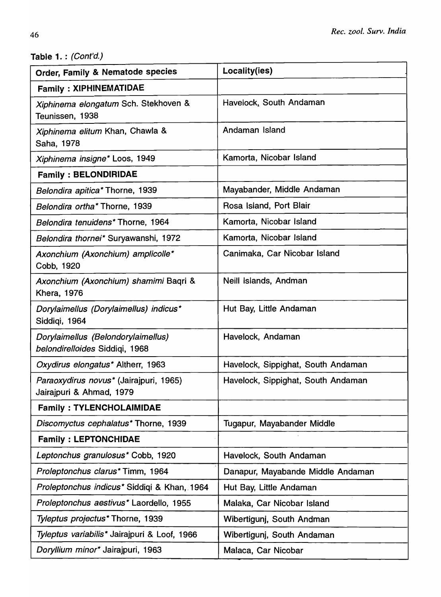Table 1. : (Cont'd.)

| Order, Family & Nematode species                                     | Locality(ies)                      |
|----------------------------------------------------------------------|------------------------------------|
| <b>Family: XIPHINEMATIDAE</b>                                        |                                    |
| Xiphinema elongatum Sch. Stekhoven &<br>Teunissen, 1938              | Havelock, South Andaman            |
| Xiphinema elitum Khan, Chawla &<br>Saha, 1978                        | Andaman Island                     |
| Xiphinema insigne* Loos, 1949                                        | Kamorta, Nicobar Island            |
| <b>Family: BELONDIRIDAE</b>                                          |                                    |
| Belondira apitica* Thorne, 1939                                      | Mayabander, Middle Andaman         |
| Belondira ortha* Thorne, 1939                                        | Rosa Island, Port Blair            |
| Belondira tenuidens* Thorne, 1964                                    | Kamorta, Nicobar Island            |
| Belondira thornei* Suryawanshi, 1972                                 | Kamorta, Nicobar Island            |
| Axonchium (Axonchium) amplicolle*<br>Cobb, 1920                      | Canimaka, Car Nicobar Island       |
| Axonchium (Axonchium) shamimi Baqri &<br><b>Khera, 1976</b>          | Neill Islands, Andman              |
| Dorylaimellus (Dorylaimellus) indicus*<br>Siddiqi, 1964              | Hut Bay, Little Andaman            |
| Dorylaimellus (Belondorylaimellus)<br>belondirelloides Siddiqi, 1968 | Havelock, Andaman                  |
| Oxydirus elongatus* Altherr, 1963                                    | Havelock, Sippighat, South Andaman |
| Paraoxydirus novus* (Jairajpuri, 1965)<br>Jairajpuri & Ahmad, 1979   | Havelock, Sippighat, South Andaman |
| <b>Family: TYLENCHOLAIMIDAE</b>                                      |                                    |
| Discomyctus cephalatus* Thorne, 1939                                 | Tugapur, Mayabander Middle         |
| <b>Family: LEPTONCHIDAE</b>                                          |                                    |
| Leptonchus granulosus* Cobb, 1920                                    | Havelock, South Andaman            |
| Proleptonchus clarus* Timm, 1964                                     | Danapur, Mayabande Middle Andaman  |
| Proleptonchus indicus* Siddiqi & Khan, 1964                          | Hut Bay, Little Andaman            |
| Proleptonchus aestivus* Laordello, 1955                              | Malaka, Car Nicobar Island         |
| Tyleptus projectus* Thorne, 1939                                     | Wibertigunj, South Andman          |
| Tyleptus variabilis* Jairajpuri & Loof, 1966                         | Wibertigunj, South Andaman         |
| Doryllium minor* Jairajpuri, 1963                                    | Malaca, Car Nicobar                |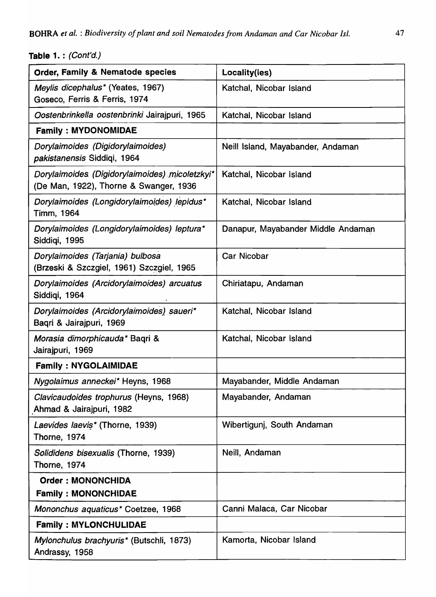# Table 1. : (Cont'd.)

| Order, Family & Nematode species                                                         | Locality(ies)                      |
|------------------------------------------------------------------------------------------|------------------------------------|
| Meylis dicephalus* (Yeates, 1967)<br>Goseco, Ferris & Ferris, 1974                       | Katchal, Nicobar Island            |
| Oostenbrinkella oostenbrinki Jairajpuri, 1965                                            | Katchal, Nicobar Island            |
| <b>Family: MYDONOMIDAE</b>                                                               |                                    |
| Dorylaimoides (Digidorylaimoides)<br>pakistanensis Siddiqi, 1964                         | Neill Island, Mayabander, Andaman  |
| Dorylaimoides (Digidorylaimoides) micoletzkyi*<br>(De Man, 1922), Thorne & Swanger, 1936 | Katchal, Nicobar Island            |
| Dorylaimoides (Longidorylaimoides) lepidus*<br>Timm, 1964                                | Katchal, Nicobar Island            |
| Dorylaimoides (Longidorylaimoides) leptura*<br>Siddigi, 1995                             | Danapur, Mayabander Middle Andaman |
| Dorylaimoides (Tarjania) bulbosa<br>(Brzeski & Szczgiel, 1961) Szczgiel, 1965            | <b>Car Nicobar</b>                 |
| Dorylaimoides (Arcidorylaimoides) arcuatus<br>Siddigi, 1964                              | Chiriatapu, Andaman                |
| Dorylaimoides (Arcidorylaimoides) saueri*<br>Baqri & Jairajpuri, 1969                    | Katchal, Nicobar Island            |
| Morasia dimorphicauda* Baqri &<br>Jairajpuri, 1969                                       | Katchal, Nicobar Island            |
| <b>Family: NYGOLAIMIDAE</b>                                                              |                                    |
| Nygolaimus anneckei* Heyns, 1968                                                         | Mayabander, Middle Andaman         |
| Clavicaudoides trophurus (Heyns, 1968)<br>Ahmad & Jairajpuri, 1982                       | Mayabander, Andaman                |
| Laevides laevis* (Thorne, 1939)<br><b>Thorne, 1974</b>                                   | Wibertigunj, South Andaman         |
| Solididens bisexualis (Thorne, 1939)<br>Thorne, 1974                                     | Neill, Andaman                     |
| <b>Order: MONONCHIDA</b><br><b>Family: MONONCHIDAE</b>                                   |                                    |
| Mononchus aquaticus* Coetzee, 1968                                                       | Canni Malaca, Car Nicobar          |
| <b>Family: MYLONCHULIDAE</b>                                                             |                                    |
| Mylonchulus brachyuris* (Butschli, 1873)<br>Andrassy, 1958                               | Kamorta, Nicobar Island            |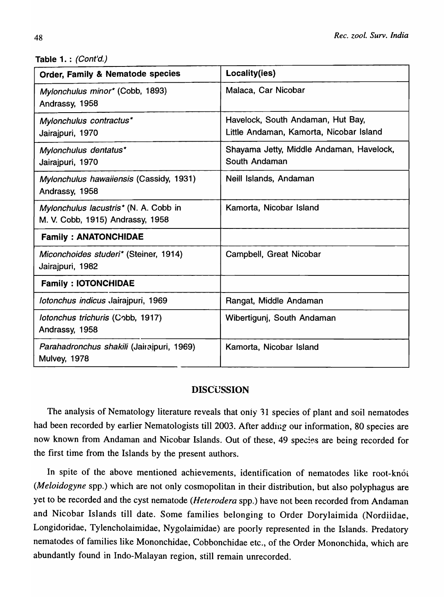Table 1. : (Cont'd.)

| <b>Order, Family &amp; Nematode species</b>                               | Locality(ies)                                                                |
|---------------------------------------------------------------------------|------------------------------------------------------------------------------|
| Mylonchulus minor* (Cobb, 1893)<br>Andrassy, 1958                         | Malaca, Car Nicobar                                                          |
| Mylonchulus contractus*<br>Jairajpuri, 1970                               | Havelock, South Andaman, Hut Bay,<br>Little Andaman, Kamorta, Nicobar Island |
| Mylonchulus dentatus*<br>Jairajpuri, 1970                                 | Shayama Jetty, Middle Andaman, Havelock,<br>South Andaman                    |
| Mylonchulus hawaiiensis (Cassidy, 1931)<br>Andrassy, 1958                 | Neill Islands, Andaman                                                       |
| Mylonchulus lacustris* (N. A. Cobb in<br>M. V. Cobb, 1915) Andrassy, 1958 | Kamorta, Nicobar Island                                                      |
| <b>Family: ANATONCHIDAE</b>                                               |                                                                              |
| Miconchoides studeri* (Steiner, 1914)<br>Jairajpuri, 1982                 | Campbell, Great Nicobar                                                      |
| <b>Family: IOTONCHIDAE</b>                                                |                                                                              |
| <i>lotonchus indicus Jairajpuri, 1969</i>                                 | Rangat, Middle Andaman                                                       |
| Iotonchus trichuris (Cobb, 1917)<br>Andrassy, 1958                        | Wibertigunj, South Andaman                                                   |
| Parahadronchus shakili (Jairajpuri, 1969)<br>Mulvey, 1978                 | Kamorta, Nicobar Island                                                      |

## **DISCUSSION**

The analysis of Nematology literature reveals that only 31 species of plant and soil nematodes had been recorded by earlier Nematologists till 2003. After adding our information, 80 species are now known from Andaman and Nicobar Islands. Out of these, 49 species are being recorded for the first time from the Islands by the present authors.

In spite of the above mentioned achievements, identification of nematodes like root-knot *(Meloidogyne* spp.) which are not only cosmopolitan in their distribution, but also polyphagus are yet to be recorded and the cyst nematode *(Heterodera* spp.) have not been recorded from Andaman and Nicobar Islands till date. Some families belonging to Order Dorylaimida (Nordiidae, Longidoridae, Tylencholaimidae, Nygolaimidae) are poorly represented in the Islands. Predatory nematodes of families like Mononchidae, Cobbonchidae etc., of the Order Mononchida, which are abundantly found in Indo-Malayan region, still remain unrecorded.